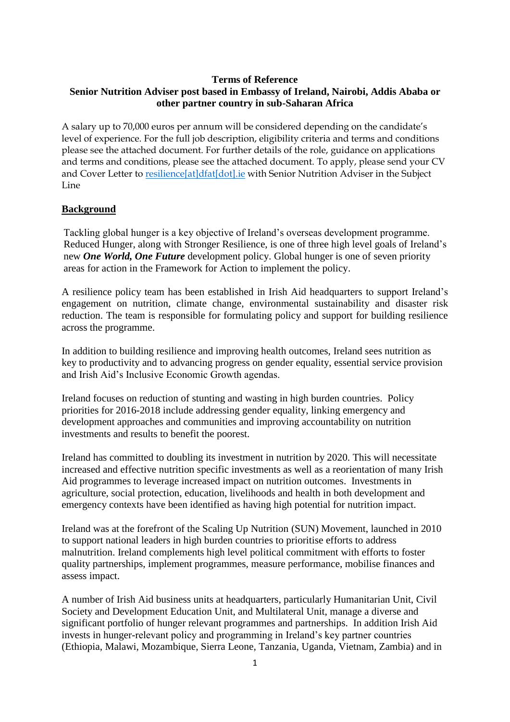# **Terms of Reference Senior Nutrition Adviser post based in Embassy of Ireland, Nairobi, Addis Ababa or other partner country in sub-Saharan Africa**

A salary up to 70,000 euros per annum will be considered depending on the candidate's level of experience. For the full job description, eligibility criteria and terms and conditions please see the attached document. For further details of the role, guidance on applications and terms and conditions, please see the attached document. To apply, please send your CV and Cover Letter t[o resilience\[at\]dfat\[dot\].ie](mailto:resilience@dfat.ie) with Senior Nutrition Adviser in the Subject Line

### **Background**

Tackling global hunger is a key objective of Ireland's overseas development programme. Reduced Hunger, along with Stronger Resilience, is one of three high level goals of Ireland's new *One World, One Future* development policy. Global hunger is one of seven priority areas for action in the Framework for Action to implement the policy.

A resilience policy team has been established in Irish Aid headquarters to support Ireland's engagement on nutrition, climate change, environmental sustainability and disaster risk reduction. The team is responsible for formulating policy and support for building resilience across the programme.

In addition to building resilience and improving health outcomes, Ireland sees nutrition as key to productivity and to advancing progress on gender equality, essential service provision and Irish Aid's Inclusive Economic Growth agendas.

Ireland focuses on reduction of stunting and wasting in high burden countries. Policy priorities for 2016-2018 include addressing gender equality, linking emergency and development approaches and communities and improving accountability on nutrition investments and results to benefit the poorest.

Ireland has committed to doubling its investment in nutrition by 2020. This will necessitate increased and effective nutrition specific investments as well as a reorientation of many Irish Aid programmes to leverage increased impact on nutrition outcomes. Investments in agriculture, social protection, education, livelihoods and health in both development and emergency contexts have been identified as having high potential for nutrition impact.

Ireland was at the forefront of the Scaling Up Nutrition (SUN) Movement, launched in 2010 to support national leaders in high burden countries to prioritise efforts to address malnutrition. Ireland complements high level political commitment with efforts to foster quality partnerships, implement programmes, measure performance, mobilise finances and assess impact.

A number of Irish Aid business units at headquarters, particularly Humanitarian Unit, Civil Society and Development Education Unit, and Multilateral Unit, manage a diverse and significant portfolio of hunger relevant programmes and partnerships. In addition Irish Aid invests in hunger-relevant policy and programming in Ireland's key partner countries (Ethiopia, Malawi, Mozambique, Sierra Leone, Tanzania, Uganda, Vietnam, Zambia) and in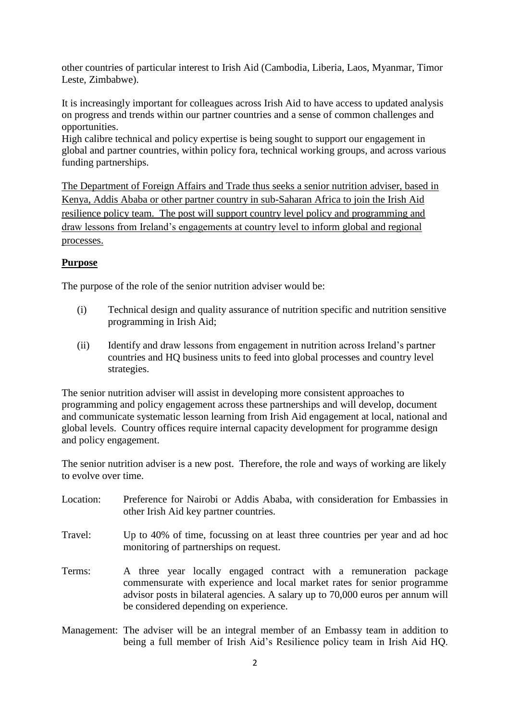other countries of particular interest to Irish Aid (Cambodia, Liberia, Laos, Myanmar, Timor Leste, Zimbabwe).

It is increasingly important for colleagues across Irish Aid to have access to updated analysis on progress and trends within our partner countries and a sense of common challenges and opportunities.

High calibre technical and policy expertise is being sought to support our engagement in global and partner countries, within policy fora, technical working groups, and across various funding partnerships.

The Department of Foreign Affairs and Trade thus seeks a senior nutrition adviser, based in Kenya, Addis Ababa or other partner country in sub-Saharan Africa to join the Irish Aid resilience policy team. The post will support country level policy and programming and draw lessons from Ireland's engagements at country level to inform global and regional processes.

# **Purpose**

The purpose of the role of the senior nutrition adviser would be:

- (i) Technical design and quality assurance of nutrition specific and nutrition sensitive programming in Irish Aid;
- (ii) Identify and draw lessons from engagement in nutrition across Ireland's partner countries and HQ business units to feed into global processes and country level strategies.

The senior nutrition adviser will assist in developing more consistent approaches to programming and policy engagement across these partnerships and will develop, document and communicate systematic lesson learning from Irish Aid engagement at local, national and global levels. Country offices require internal capacity development for programme design and policy engagement.

The senior nutrition adviser is a new post. Therefore, the role and ways of working are likely to evolve over time.

- Location: Preference for Nairobi or Addis Ababa, with consideration for Embassies in other Irish Aid key partner countries. Travel: Up to 40% of time, focussing on at least three countries per year and ad hoc monitoring of partnerships on request. Terms: A three year locally engaged contract with a remuneration package commensurate with experience and local market rates for senior programme advisor posts in bilateral agencies. A salary up to 70,000 euros per annum will be considered depending on experience.
- Management: The adviser will be an integral member of an Embassy team in addition to being a full member of Irish Aid's Resilience policy team in Irish Aid HQ.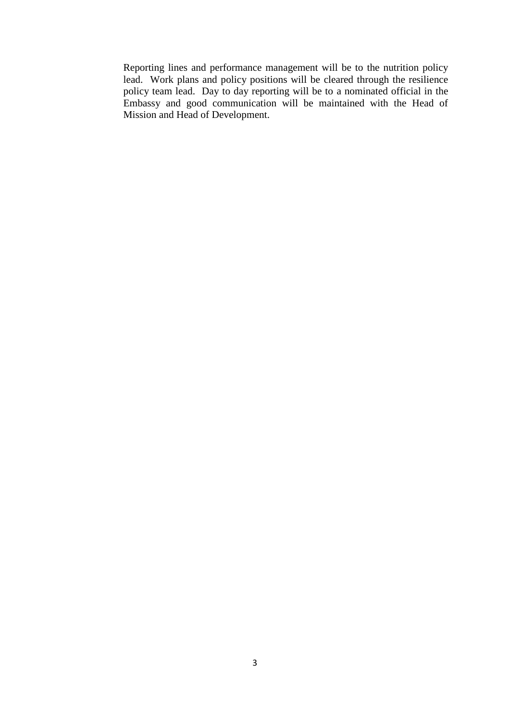Reporting lines and performance management will be to the nutrition policy lead. Work plans and policy positions will be cleared through the resilience policy team lead. Day to day reporting will be to a nominated official in the Embassy and good communication will be maintained with the Head of Mission and Head of Development.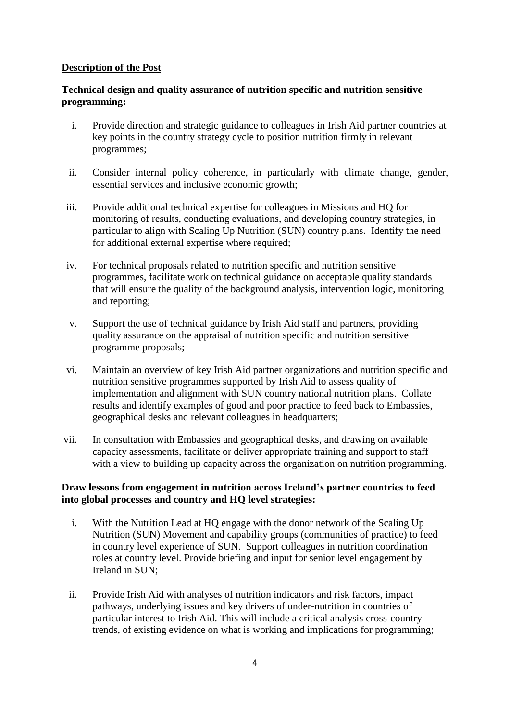### **Description of the Post**

# **Technical design and quality assurance of nutrition specific and nutrition sensitive programming:**

- i. Provide direction and strategic guidance to colleagues in Irish Aid partner countries at key points in the country strategy cycle to position nutrition firmly in relevant programmes;
- ii. Consider internal policy coherence, in particularly with climate change, gender, essential services and inclusive economic growth;
- iii. Provide additional technical expertise for colleagues in Missions and HQ for monitoring of results, conducting evaluations, and developing country strategies, in particular to align with Scaling Up Nutrition (SUN) country plans. Identify the need for additional external expertise where required;
- iv. For technical proposals related to nutrition specific and nutrition sensitive programmes, facilitate work on technical guidance on acceptable quality standards that will ensure the quality of the background analysis, intervention logic, monitoring and reporting;
- v. Support the use of technical guidance by Irish Aid staff and partners, providing quality assurance on the appraisal of nutrition specific and nutrition sensitive programme proposals;
- vi. Maintain an overview of key Irish Aid partner organizations and nutrition specific and nutrition sensitive programmes supported by Irish Aid to assess quality of implementation and alignment with SUN country national nutrition plans. Collate results and identify examples of good and poor practice to feed back to Embassies, geographical desks and relevant colleagues in headquarters;
- vii. In consultation with Embassies and geographical desks, and drawing on available capacity assessments, facilitate or deliver appropriate training and support to staff with a view to building up capacity across the organization on nutrition programming.

# **Draw lessons from engagement in nutrition across Ireland's partner countries to feed into global processes and country and HQ level strategies:**

- i. With the Nutrition Lead at HQ engage with the donor network of the Scaling Up Nutrition (SUN) Movement and capability groups (communities of practice) to feed in country level experience of SUN. Support colleagues in nutrition coordination roles at country level. Provide briefing and input for senior level engagement by Ireland in SUN;
- ii. Provide Irish Aid with analyses of nutrition indicators and risk factors, impact pathways, underlying issues and key drivers of under-nutrition in countries of particular interest to Irish Aid. This will include a critical analysis cross-country trends, of existing evidence on what is working and implications for programming;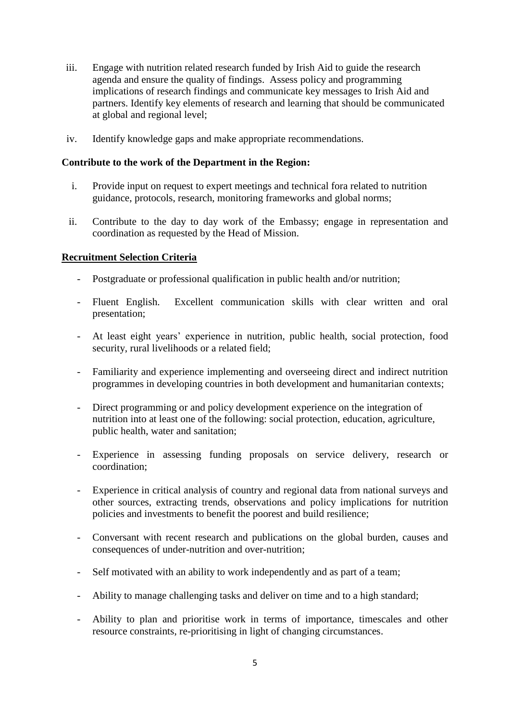- iii. Engage with nutrition related research funded by Irish Aid to guide the research agenda and ensure the quality of findings. Assess policy and programming implications of research findings and communicate key messages to Irish Aid and partners. Identify key elements of research and learning that should be communicated at global and regional level;
- iv. Identify knowledge gaps and make appropriate recommendations.

### **Contribute to the work of the Department in the Region:**

- i. Provide input on request to expert meetings and technical fora related to nutrition guidance, protocols, research, monitoring frameworks and global norms;
- ii. Contribute to the day to day work of the Embassy; engage in representation and coordination as requested by the Head of Mission.

# **Recruitment Selection Criteria**

- Postgraduate or professional qualification in public health and/or nutrition;
- Fluent English. Excellent communication skills with clear written and oral presentation;
- At least eight years' experience in nutrition, public health, social protection, food security, rural livelihoods or a related field;
- Familiarity and experience implementing and overseeing direct and indirect nutrition programmes in developing countries in both development and humanitarian contexts;
- Direct programming or and policy development experience on the integration of nutrition into at least one of the following: social protection, education, agriculture, public health, water and sanitation;
- Experience in assessing funding proposals on service delivery, research or coordination;
- Experience in critical analysis of country and regional data from national surveys and other sources, extracting trends, observations and policy implications for nutrition policies and investments to benefit the poorest and build resilience;
- Conversant with recent research and publications on the global burden, causes and consequences of under-nutrition and over-nutrition;
- Self motivated with an ability to work independently and as part of a team;
- Ability to manage challenging tasks and deliver on time and to a high standard;
- Ability to plan and prioritise work in terms of importance, timescales and other resource constraints, re-prioritising in light of changing circumstances.